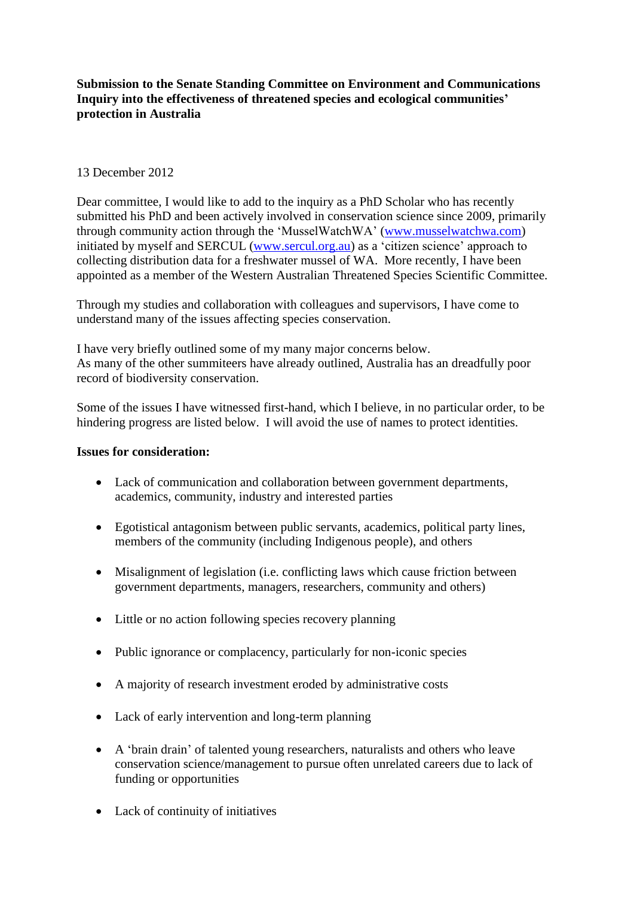# **Submission to the Senate Standing Committee on Environment and Communications Inquiry into the effectiveness of threatened species and ecological communities' protection in Australia**

## 13 December 2012

Dear committee, I would like to add to the inquiry as a PhD Scholar who has recently submitted his PhD and been actively involved in conservation science since 2009, primarily through community action through the "MusselWatchWA" [\(www.musselwatchwa.com\)](http://www.musselwatchwa.com/) initiated by myself and SERCUL [\(www.sercul.org.au\)](http://www.sercul.org.au/) as a "citizen science" approach to collecting distribution data for a freshwater mussel of WA. More recently, I have been appointed as a member of the Western Australian Threatened Species Scientific Committee.

Through my studies and collaboration with colleagues and supervisors, I have come to understand many of the issues affecting species conservation.

I have very briefly outlined some of my many major concerns below. As many of the other summiteers have already outlined, Australia has an dreadfully poor record of biodiversity conservation.

Some of the issues I have witnessed first-hand, which I believe, in no particular order, to be hindering progress are listed below. I will avoid the use of names to protect identities.

### **Issues for consideration:**

- Lack of communication and collaboration between government departments, academics, community, industry and interested parties
- Egotistical antagonism between public servants, academics, political party lines, members of the community (including Indigenous people), and others
- Misalignment of legislation (i.e. conflicting laws which cause friction between government departments, managers, researchers, community and others)
- Little or no action following species recovery planning
- Public ignorance or complacency, particularly for non-iconic species
- A majority of research investment eroded by administrative costs
- Lack of early intervention and long-term planning
- A "brain drain" of talented young researchers, naturalists and others who leave conservation science/management to pursue often unrelated careers due to lack of funding or opportunities
- Lack of continuity of initiatives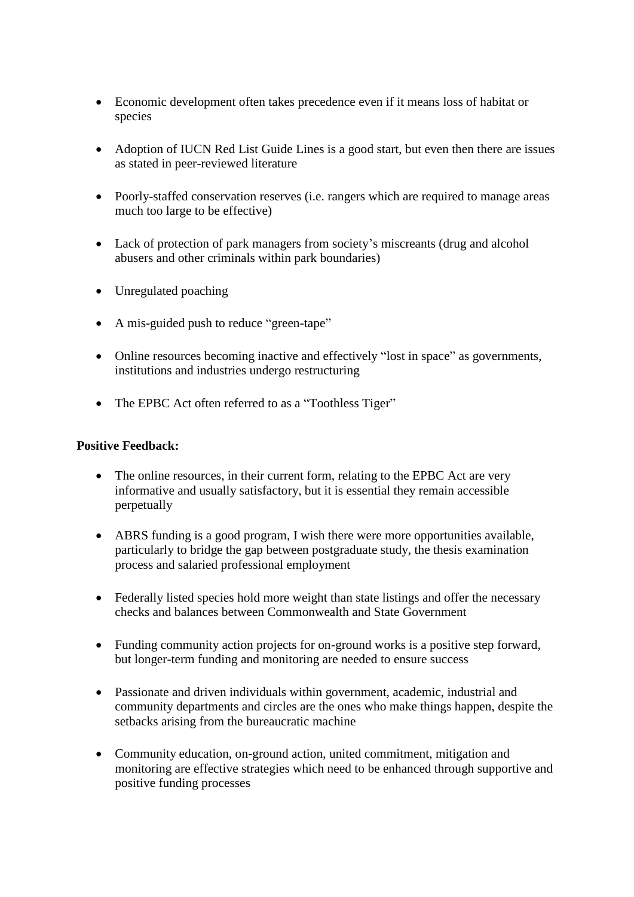- Economic development often takes precedence even if it means loss of habitat or species
- Adoption of IUCN Red List Guide Lines is a good start, but even then there are issues as stated in peer-reviewed literature
- Poorly-staffed conservation reserves (i.e. rangers which are required to manage areas much too large to be effective)
- Lack of protection of park managers from society's miscreants (drug and alcohol abusers and other criminals within park boundaries)
- Unregulated poaching
- A mis-guided push to reduce "green-tape"
- Online resources becoming inactive and effectively "lost in space" as governments, institutions and industries undergo restructuring
- The EPBC Act often referred to as a "Toothless Tiger"

### **Positive Feedback:**

- The online resources, in their current form, relating to the EPBC Act are very informative and usually satisfactory, but it is essential they remain accessible perpetually
- ABRS funding is a good program, I wish there were more opportunities available, particularly to bridge the gap between postgraduate study, the thesis examination process and salaried professional employment
- Federally listed species hold more weight than state listings and offer the necessary checks and balances between Commonwealth and State Government
- Funding community action projects for on-ground works is a positive step forward, but longer-term funding and monitoring are needed to ensure success
- Passionate and driven individuals within government, academic, industrial and community departments and circles are the ones who make things happen, despite the setbacks arising from the bureaucratic machine
- Community education, on-ground action, united commitment, mitigation and monitoring are effective strategies which need to be enhanced through supportive and positive funding processes